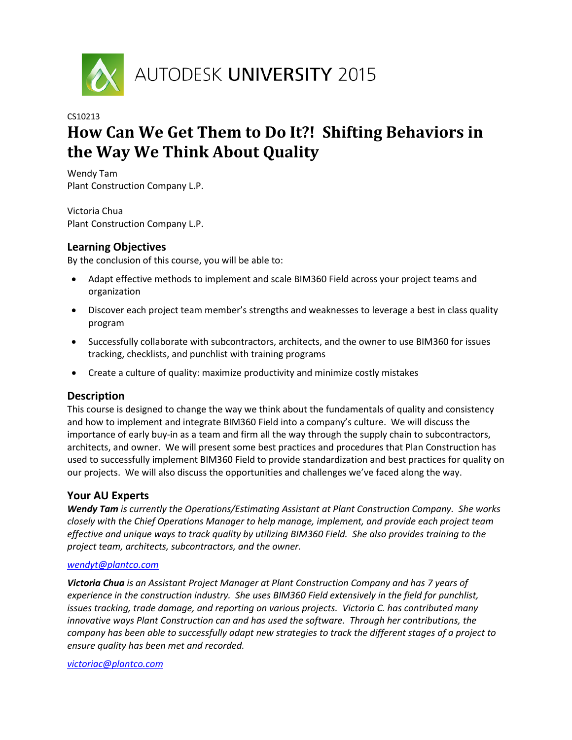

# **How Can We Get Them to Do It?! Shifting Behaviors in the Way We Think About Quality**

Wendy Tam Plant Construction Company L.P.

Victoria Chua Plant Construction Company L.P.

## **Learning Objectives**

By the conclusion of this course, you will be able to:

- Adapt effective methods to implement and scale BIM360 Field across your project teams and organization
- Discover each project team member's strengths and weaknesses to leverage a best in class quality program
- Successfully collaborate with subcontractors, architects, and the owner to use BIM360 for issues tracking, checklists, and punchlist with training programs
- Create a culture of quality: maximize productivity and minimize costly mistakes

## **Description**

This course is designed to change the way we think about the fundamentals of quality and consistency and how to implement and integrate BIM360 Field into a company's culture. We will discuss the importance of early buy-in as a team and firm all the way through the supply chain to subcontractors, architects, and owner. We will present some best practices and procedures that Plan Construction has used to successfully implement BIM360 Field to provide standardization and best practices for quality on our projects. We will also discuss the opportunities and challenges we've faced along the way.

## **Your AU Experts**

*Wendy Tam is currently the Operations/Estimating Assistant at Plant Construction Company. She works closely with the Chief Operations Manager to help manage, implement, and provide each project team effective and unique ways to track quality by utilizing BIM360 Field. She also provides training to the project team, architects, subcontractors, and the owner.*

#### *[wendyt@plantco.com](mailto:wendyt@plantco.com)*

*Victoria Chua is an Assistant Project Manager at Plant Construction Company and has 7 years of experience in the construction industry. She uses BIM360 Field extensively in the field for punchlist, issues tracking, trade damage, and reporting on various projects. Victoria C. has contributed many innovative ways Plant Construction can and has used the software. Through her contributions, the company has been able to successfully adapt new strategies to track the different stages of a project to ensure quality has been met and recorded.*

#### *[victoriac@plantco.com](mailto:victoriac@plantco.com)*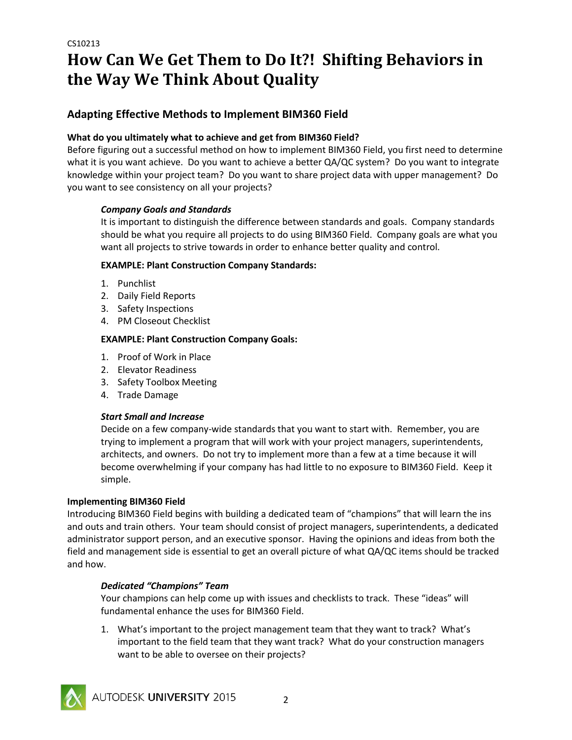# **How Can We Get Them to Do It?! Shifting Behaviors in the Way We Think About Quality**

## **Adapting Effective Methods to Implement BIM360 Field**

## **What do you ultimately what to achieve and get from BIM360 Field?**

Before figuring out a successful method on how to implement BIM360 Field, you first need to determine what it is you want achieve. Do you want to achieve a better QA/QC system? Do you want to integrate knowledge within your project team? Do you want to share project data with upper management? Do you want to see consistency on all your projects?

## *Company Goals and Standards*

It is important to distinguish the difference between standards and goals. Company standards should be what you require all projects to do using BIM360 Field. Company goals are what you want all projects to strive towards in order to enhance better quality and control.

## **EXAMPLE: Plant Construction Company Standards:**

- 1. Punchlist
- 2. Daily Field Reports
- 3. Safety Inspections
- 4. PM Closeout Checklist

## **EXAMPLE: Plant Construction Company Goals:**

- 1. Proof of Work in Place
- 2. Elevator Readiness
- 3. Safety Toolbox Meeting
- 4. Trade Damage

## *Start Small and Increase*

Decide on a few company-wide standards that you want to start with. Remember, you are trying to implement a program that will work with your project managers, superintendents, architects, and owners. Do not try to implement more than a few at a time because it will become overwhelming if your company has had little to no exposure to BIM360 Field. Keep it simple.

## **Implementing BIM360 Field**

Introducing BIM360 Field begins with building a dedicated team of "champions" that will learn the ins and outs and train others. Your team should consist of project managers, superintendents, a dedicated administrator support person, and an executive sponsor. Having the opinions and ideas from both the field and management side is essential to get an overall picture of what QA/QC items should be tracked and how.

## *Dedicated "Champions" Team*

Your champions can help come up with issues and checklists to track. These "ideas" will fundamental enhance the uses for BIM360 Field.

1. What's important to the project management team that they want to track? What's important to the field team that they want track? What do your construction managers want to be able to oversee on their projects?

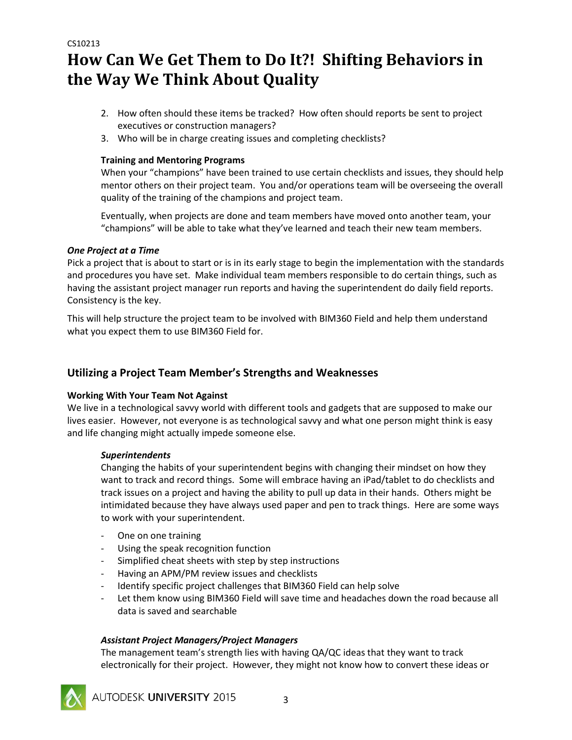```
CS10213
```
# **How Can We Get Them to Do It?! Shifting Behaviors in the Way We Think About Quality**

- 2. How often should these items be tracked? How often should reports be sent to project executives or construction managers?
- 3. Who will be in charge creating issues and completing checklists?

## **Training and Mentoring Programs**

When your "champions" have been trained to use certain checklists and issues, they should help mentor others on their project team. You and/or operations team will be overseeing the overall quality of the training of the champions and project team.

Eventually, when projects are done and team members have moved onto another team, your "champions" will be able to take what they've learned and teach their new team members.

## *One Project at a Time*

Pick a project that is about to start or is in its early stage to begin the implementation with the standards and procedures you have set. Make individual team members responsible to do certain things, such as having the assistant project manager run reports and having the superintendent do daily field reports. Consistency is the key.

This will help structure the project team to be involved with BIM360 Field and help them understand what you expect them to use BIM360 Field for.

## **Utilizing a Project Team Member's Strengths and Weaknesses**

## **Working With Your Team Not Against**

We live in a technological savvy world with different tools and gadgets that are supposed to make our lives easier. However, not everyone is as technological savvy and what one person might think is easy and life changing might actually impede someone else.

## *Superintendents*

Changing the habits of your superintendent begins with changing their mindset on how they want to track and record things. Some will embrace having an iPad/tablet to do checklists and track issues on a project and having the ability to pull up data in their hands. Others might be intimidated because they have always used paper and pen to track things. Here are some ways to work with your superintendent.

- One on one training
- Using the speak recognition function
- Simplified cheat sheets with step by step instructions
- Having an APM/PM review issues and checklists
- Identify specific project challenges that BIM360 Field can help solve
- Let them know using BIM360 Field will save time and headaches down the road because all data is saved and searchable

## *Assistant Project Managers/Project Managers*

The management team's strength lies with having QA/QC ideas that they want to track electronically for their project. However, they might not know how to convert these ideas or



AUTODESK UNIVERSITY 2015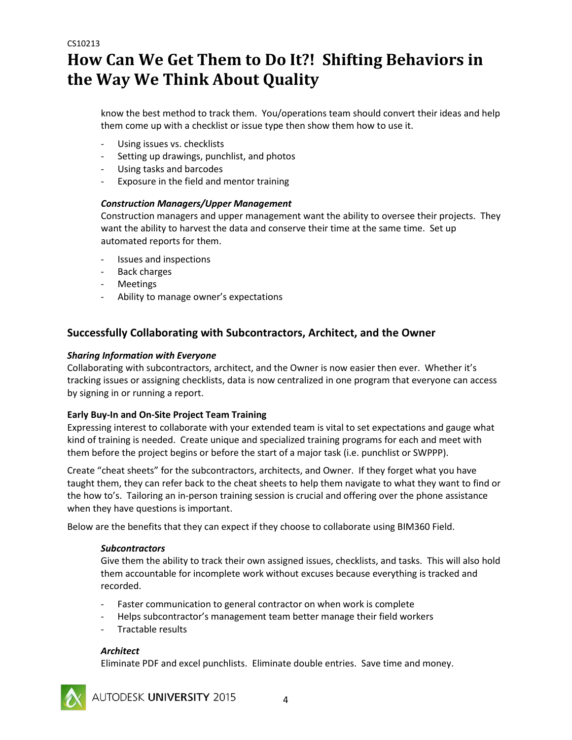# **How Can We Get Them to Do It?! Shifting Behaviors in the Way We Think About Quality**

know the best method to track them. You/operations team should convert their ideas and help them come up with a checklist or issue type then show them how to use it.

- Using issues vs. checklists
- Setting up drawings, punchlist, and photos
- Using tasks and barcodes
- Exposure in the field and mentor training

### *Construction Managers/Upper Management*

Construction managers and upper management want the ability to oversee their projects. They want the ability to harvest the data and conserve their time at the same time. Set up automated reports for them.

- Issues and inspections
- Back charges
- Meetings
- Ability to manage owner's expectations

## **Successfully Collaborating with Subcontractors, Architect, and the Owner**

#### *Sharing Information with Everyone*

Collaborating with subcontractors, architect, and the Owner is now easier then ever. Whether it's tracking issues or assigning checklists, data is now centralized in one program that everyone can access by signing in or running a report.

#### **Early Buy-In and On-Site Project Team Training**

Expressing interest to collaborate with your extended team is vital to set expectations and gauge what kind of training is needed. Create unique and specialized training programs for each and meet with them before the project begins or before the start of a major task (i.e. punchlist or SWPPP).

Create "cheat sheets" for the subcontractors, architects, and Owner. If they forget what you have taught them, they can refer back to the cheat sheets to help them navigate to what they want to find or the how to's. Tailoring an in-person training session is crucial and offering over the phone assistance when they have questions is important.

Below are the benefits that they can expect if they choose to collaborate using BIM360 Field.

#### *Subcontractors*

Give them the ability to track their own assigned issues, checklists, and tasks. This will also hold them accountable for incomplete work without excuses because everything is tracked and recorded.

- Faster communication to general contractor on when work is complete
- Helps subcontractor's management team better manage their field workers
- Tractable results

#### *Architect*

Eliminate PDF and excel punchlists. Eliminate double entries. Save time and money.



AUTODESK UNIVERSITY 2015